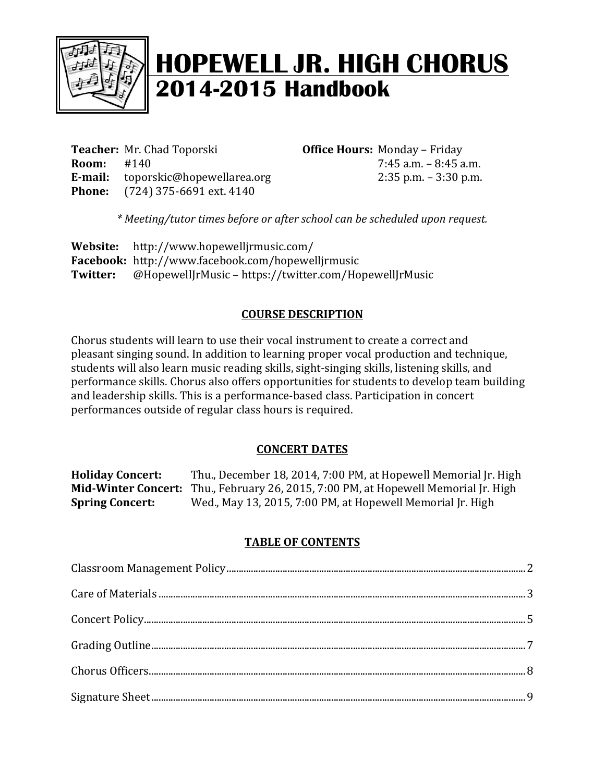

# **HOPEWELL JR. HIGH CHORUS 2014-2015 Handbook**

**Teacher:** Mr. Chad Toporski **Office Hours:** Monday – Friday **Room:** #140 **7:45** a.m.  $-8:45$  a.m. **E-mail:** toporskic@hopewellarea.org 2:35 p.m. – 3:30 p.m. **Phone:** (724) 375-6691 ext. 4140

*\* Meeting/tutor times before or after school can be scheduled upon request.*

**Website:** http://www.hopewelljrmusic.com/ **Facebook:** http://www.facebook.com/hopewelljrmusic **Twitter:** @HopewellJrMusic – https://twitter.com/HopewellJrMusic

#### **COURSE DESCRIPTION**

Chorus students will learn to use their vocal instrument to create a correct and pleasant singing sound. In addition to learning proper vocal production and technique, students will also learn music reading skills, sight-singing skills, listening skills, and performance skills. Chorus also offers opportunities for students to develop team building and leadership skills. This is a performance-based class. Participation in concert performances outside of regular class hours is required.

#### **CONCERT DATES**

**Holiday Concert:** Thu., December 18, 2014, 7:00 PM, at Hopewell Memorial [r. High **Mid-Winter Concert:** Thu., February 26, 2015, 7:00 PM, at Hopewell Memorial Jr. High **Spring Concert:** Wed., May 13, 2015, 7:00 PM, at Hopewell Memorial Jr. High

#### **TABLE OF CONTENTS**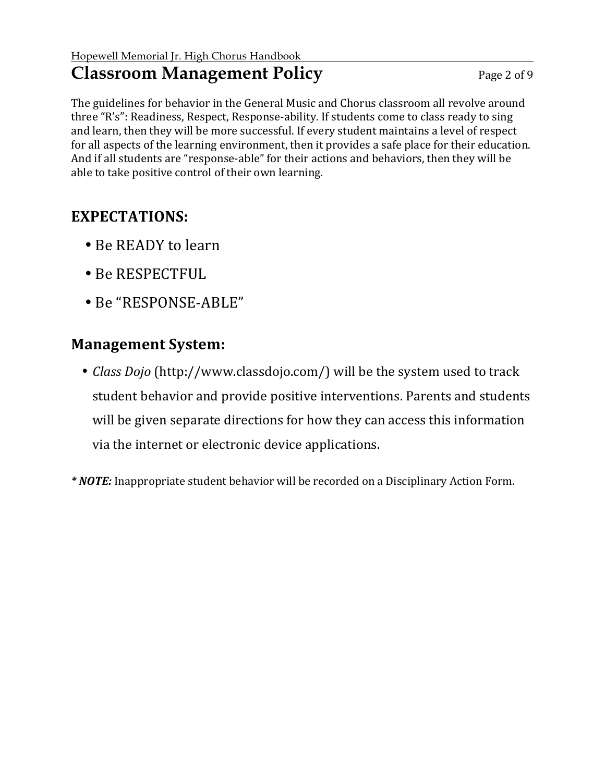### **Classroom Management Policy** Page 2 of 9

The guidelines for behavior in the General Music and Chorus classroom all revolve around three "R's": Readiness, Respect, Response-ability. If students come to class ready to sing and learn, then they will be more successful. If every student maintains a level of respect for all aspects of the learning environment, then it provides a safe place for their education. And if all students are "response-able" for their actions and behaviors, then they will be able to take positive control of their own learning.

### **EXPECTATIONS:**

- Be READY to learn
- Be RESPECTFUL
- Be "RESPONSE-ABLE"

### **Management System:**

• *Class Dojo* (http://www.classdojo.com/) will be the system used to track student behavior and provide positive interventions. Parents and students will be given separate directions for how they can access this information via the internet or electronic device applications.

*\** **NOTE:** Inappropriate student behavior will be recorded on a Disciplinary Action Form.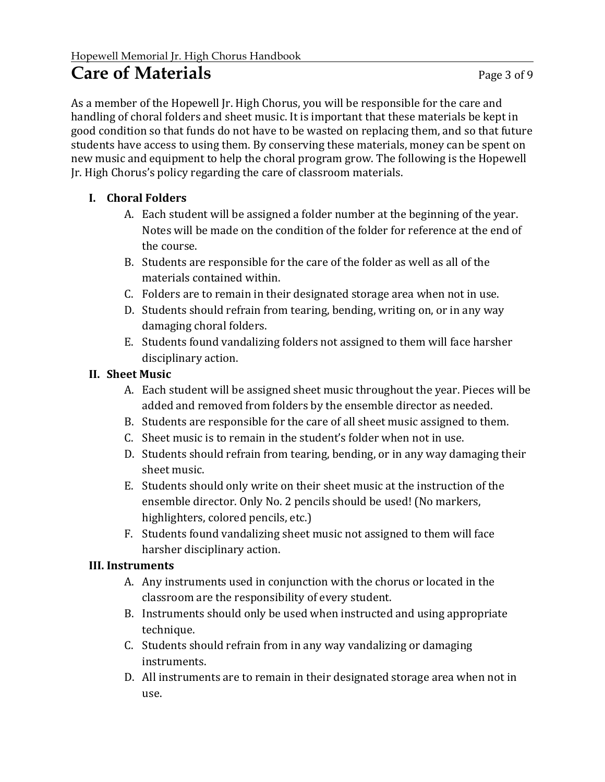### **Care of Materials** Page 3 of 9

As a member of the Hopewell Jr. High Chorus, you will be responsible for the care and handling of choral folders and sheet music. It is important that these materials be kept in good condition so that funds do not have to be wasted on replacing them, and so that future students have access to using them. By conserving these materials, money can be spent on new music and equipment to help the choral program grow. The following is the Hopewell Jr. High Chorus's policy regarding the care of classroom materials.

#### **I. Choral Folders**

- A. Each student will be assigned a folder number at the beginning of the year. Notes will be made on the condition of the folder for reference at the end of the course.
- B. Students are responsible for the care of the folder as well as all of the materials contained within.
- C. Folders are to remain in their designated storage area when not in use.
- D. Students should refrain from tearing, bending, writing on, or in any way damaging choral folders.
- E. Students found vandalizing folders not assigned to them will face harsher disciplinary action.

#### **II. Sheet Music**

- A. Each student will be assigned sheet music throughout the year. Pieces will be added and removed from folders by the ensemble director as needed.
- B. Students are responsible for the care of all sheet music assigned to them.
- $C<sub>r</sub>$  Sheet music is to remain in the student's folder when not in use.
- D. Students should refrain from tearing, bending, or in any way damaging their sheet music.
- E. Students should only write on their sheet music at the instruction of the ensemble director. Only No. 2 pencils should be used! (No markers, highlighters, colored pencils, etc.)
- F. Students found vandalizing sheet music not assigned to them will face harsher disciplinary action.

#### **III. Instruments**

- A. Any instruments used in conjunction with the chorus or located in the classroom are the responsibility of every student.
- B. Instruments should only be used when instructed and using appropriate technique.
- C. Students should refrain from in any way vandalizing or damaging instruments.
- D. All instruments are to remain in their designated storage area when not in use.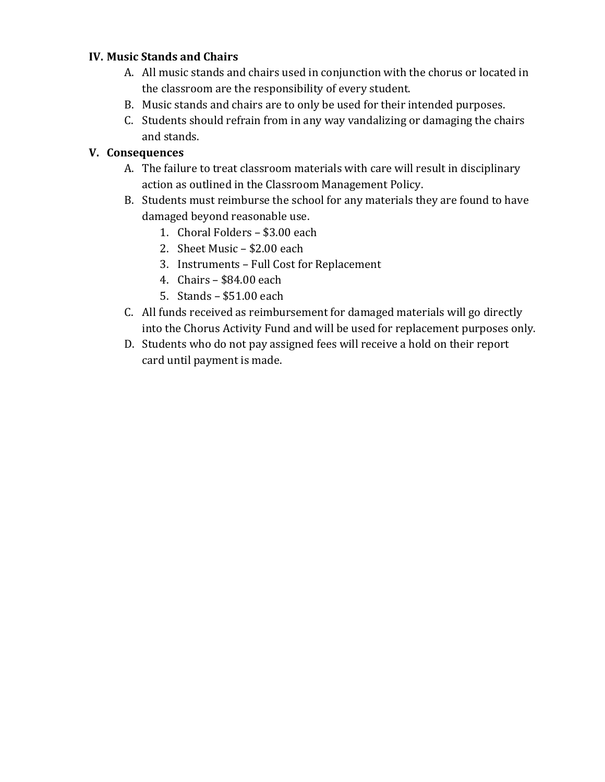#### **IV. Music Stands and Chairs**

- A. All music stands and chairs used in conjunction with the chorus or located in the classroom are the responsibility of every student.
- B. Music stands and chairs are to only be used for their intended purposes.
- C. Students should refrain from in any way vandalizing or damaging the chairs and stands.

#### **V. Consequences**

- A. The failure to treat classroom materials with care will result in disciplinary action as outlined in the Classroom Management Policy.
- B. Students must reimburse the school for any materials they are found to have damaged beyond reasonable use.
	- 1. Choral Folders \$3.00 each
	- 2. Sheet Music  $-$  \$2.00 each
	- 3. Instruments Full Cost for Replacement
	- 4. Chairs  $-$  \$84.00 each
	- 5. Stands  $-$  \$51.00 each
- C. All funds received as reimbursement for damaged materials will go directly into the Chorus Activity Fund and will be used for replacement purposes only.
- D. Students who do not pay assigned fees will receive a hold on their report card until payment is made.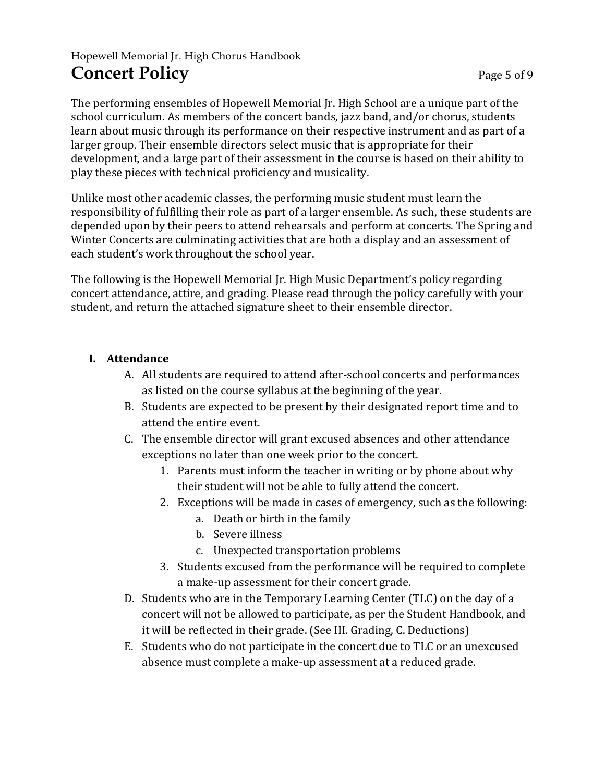## **Concert Policy** Page 5 of 9

The performing ensembles of Hopewell Memorial Jr. High School are a unique part of the school curriculum. As members of the concert bands, jazz band, and/or chorus, students learn about music through its performance on their respective instrument and as part of a larger group. Their ensemble directors select music that is appropriate for their development, and a large part of their assessment in the course is based on their ability to play these pieces with technical proficiency and musicality.

Unlike most other academic classes, the performing music student must learn the responsibility of fulfilling their role as part of a larger ensemble. As such, these students are depended upon by their peers to attend rehearsals and perform at concerts. The Spring and Winter Concerts are culminating activities that are both a display and an assessment of each student's work throughout the school year.

The following is the Hopewell Memorial [r. High Music Department's policy regarding concert attendance, attire, and grading. Please read through the policy carefully with your student, and return the attached signature sheet to their ensemble director.

#### **I. Attendance**

- A. All students are required to attend after-school concerts and performances as listed on the course syllabus at the beginning of the year.
- B. Students are expected to be present by their designated report time and to attend the entire event.
- C. The ensemble director will grant excused absences and other attendance exceptions no later than one week prior to the concert.
	- 1. Parents must inform the teacher in writing or by phone about why their student will not be able to fully attend the concert.
	- 2. Exceptions will be made in cases of emergency, such as the following:
		- a. Death or birth in the family
		- b. Severe illness
		- c. Unexpected transportation problems
	- 3. Students excused from the performance will be required to complete a make-up assessment for their concert grade.
- D. Students who are in the Temporary Learning Center (TLC) on the day of a concert will not be allowed to participate, as per the Student Handbook, and it will be reflected in their grade. (See III. Grading, C. Deductions)
- E. Students who do not participate in the concert due to TLC or an unexcused absence must complete a make-up assessment at a reduced grade.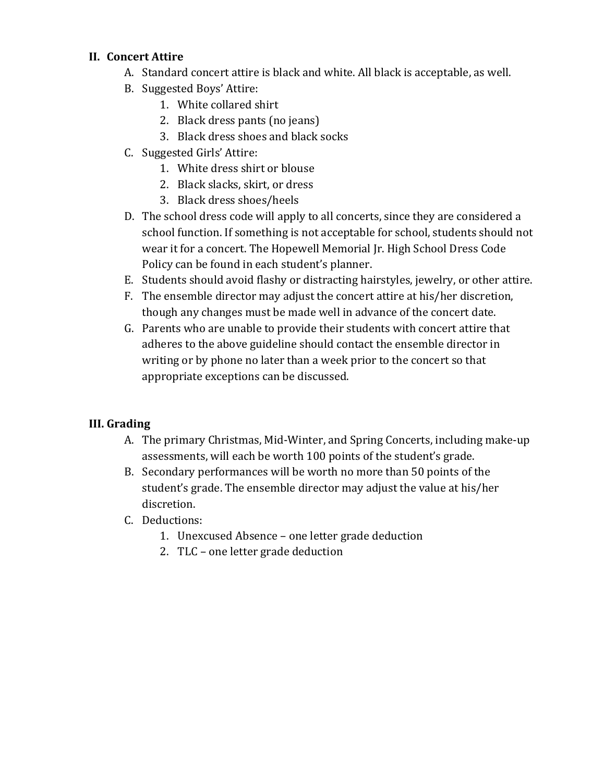#### **II. Concert Attire**

- A. Standard concert attire is black and white. All black is acceptable, as well.
- B. Suggested Boys' Attire:
	- 1. White collared shirt
	- 2. Black dress pants (no jeans)
	- 3. Black dress shoes and black socks
- C. Suggested Girls' Attire:
	- 1. White dress shirt or blouse
	- 2. Black slacks, skirt, or dress
	- 3. Black dress shoes/heels
- D. The school dress code will apply to all concerts, since they are considered a school function. If something is not acceptable for school, students should not wear it for a concert. The Hopewell Memorial Jr. High School Dress Code Policy can be found in each student's planner.
- E. Students should avoid flashy or distracting hairstyles, jewelry, or other attire.
- F. The ensemble director may adjust the concert attire at his/her discretion, though any changes must be made well in advance of the concert date.
- G. Parents who are unable to provide their students with concert attire that adheres to the above guideline should contact the ensemble director in writing or by phone no later than a week prior to the concert so that appropriate exceptions can be discussed.

#### **III. Grading**

- A. The primary Christmas, Mid-Winter, and Spring Concerts, including make-up assessments, will each be worth 100 points of the student's grade.
- B. Secondary performances will be worth no more than 50 points of the student's grade. The ensemble director may adjust the value at his/her discretion.
- C. Deductions:
	- 1. Unexcused Absence one letter grade deduction
	- 2. TLC one letter grade deduction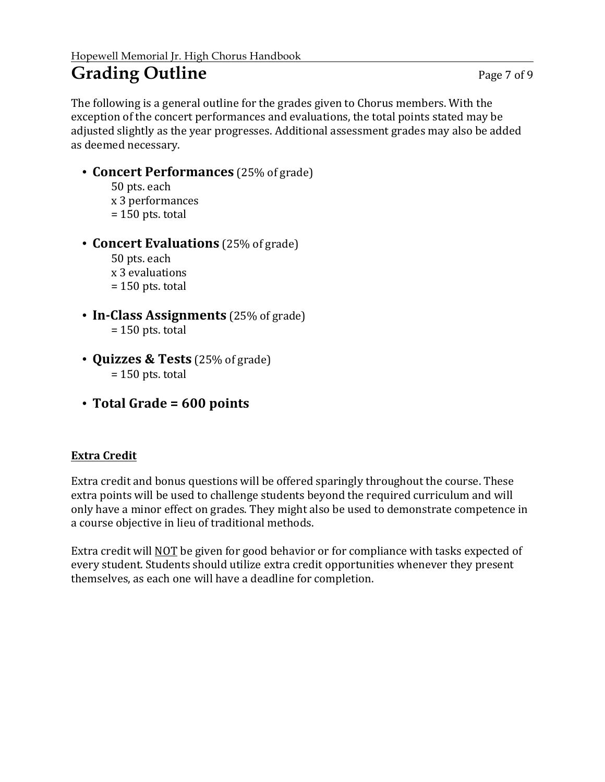## Grading Outline **Page 7 of 9**

The following is a general outline for the grades given to Chorus members. With the exception of the concert performances and evaluations, the total points stated may be adjusted slightly as the year progresses. Additional assessment grades may also be added as deemed necessary.

- **Concert Performances** (25% of grade)
	- 50 pts. each

x 3 performances

- $= 150$  pts. total
- **Concert Evaluations** (25% of grade)

50 pts. each x 3 evaluations  $= 150$  pts. total

- **In-Class Assignments** (25% of grade)  $= 150$  pts. total
- **Quizzes & Tests** (25% of grade)  $= 150$  pts. total
- **Total Grade = 600 points**

#### **Extra Credit**

Extra credit and bonus questions will be offered sparingly throughout the course. These extra points will be used to challenge students beyond the required curriculum and will only have a minor effect on grades. They might also be used to demonstrate competence in a course objective in lieu of traditional methods.

Extra credit will NOT be given for good behavior or for compliance with tasks expected of every student. Students should utilize extra credit opportunities whenever they present themselves, as each one will have a deadline for completion.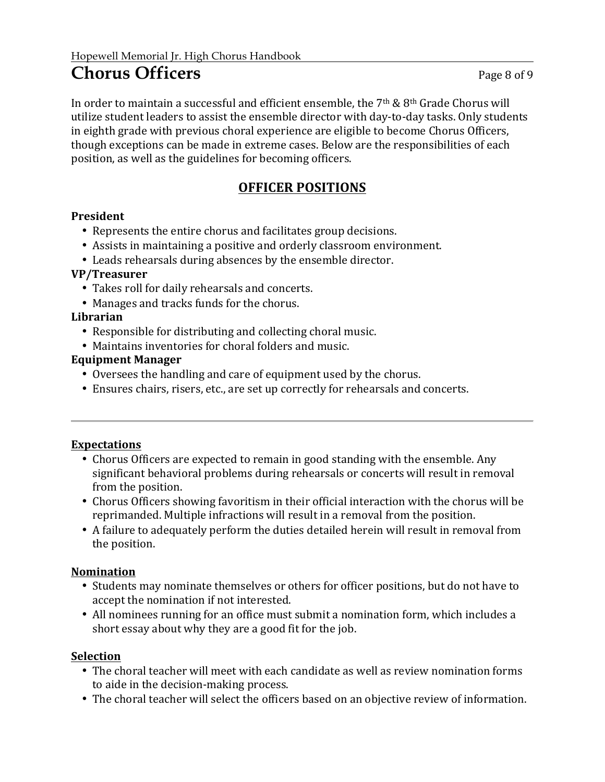### **Chorus Officers** Page 8 of 9

In order to maintain a successful and efficient ensemble, the  $7<sup>th</sup>$  &  $8<sup>th</sup>$  Grade Chorus will utilize student leaders to assist the ensemble director with day-to-day tasks. Only students in eighth grade with previous choral experience are eligible to become Chorus Officers, though exceptions can be made in extreme cases. Below are the responsibilities of each position, as well as the guidelines for becoming officers.

#### **OFFICER POSITIONS**

#### **President**

- Represents the entire chorus and facilitates group decisions.
- Assists in maintaining a positive and orderly classroom environment.
- Leads rehearsals during absences by the ensemble director.

#### **VP/Treasurer**

- Takes roll for daily rehearsals and concerts.
- Manages and tracks funds for the chorus.

#### **Librarian**

- Responsible for distributing and collecting choral music.
- Maintains inventories for choral folders and music.

#### **Equipment Manager**

- Oversees the handling and care of equipment used by the chorus.
- Ensures chairs, risers, etc., are set up correctly for rehearsals and concerts.

#### **Expectations**

- Chorus Officers are expected to remain in good standing with the ensemble. Any significant behavioral problems during rehearsals or concerts will result in removal from the position.
- Chorus Officers showing favoritism in their official interaction with the chorus will be reprimanded. Multiple infractions will result in a removal from the position.
- A failure to adequately perform the duties detailed herein will result in removal from the position.

#### **Nomination**

- Students may nominate themselves or others for officer positions, but do not have to accept the nomination if not interested.
- All nominees running for an office must submit a nomination form, which includes a short essay about why they are a good fit for the job.

#### **Selection**

- The choral teacher will meet with each candidate as well as review nomination forms to aide in the decision-making process.
- The choral teacher will select the officers based on an objective review of information.